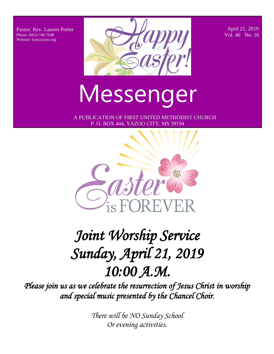Pastor: Rev. Lauren Porter Phone: (662)-746-7648 Website: fumcyazoo.org



 April 21, 2019 Vol. 46 No. 16

# Messenger

 A PUBLICATION OF FIRST UNITED METHODIST CHURCH P. O. BOX 444, YAZOO CITY, MS 39194



# *Joint Worship Service Sunday, April 21, 2019 10:00 A.M.*

*Please join us as we celebrate the resurrection of Jesus Christ in worship and special music presented by the Chancel Choir*.

> *There will be NO Sunday School Or evening activities.*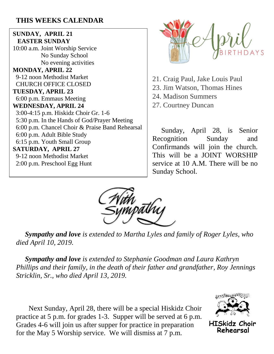### **THIS WEEKS CALENDAR**

**SUNDAY, APRIL 21 EASTER SUNDAY** 10:00 a.m. Joint Worship Service No Sunday School No evening activities **MONDAY, APRIL 22** 9-12 noon Methodist Market CHURCH OFFICE CLOSED **TUESDAY, APRIL 23** 6:00 p.m. Emmaus Meeting **WEDNESDAY, APRIL 24** 3:00-4:15 p.m. Hiskidz Choir Gr. 1-6 5:30 p.m. In the Hands of God/Prayer Meeting 6:00 p.m. Chancel Choir & Praise Band Rehearsal 6:00 p.m. Adult Bible Study 6:15 p.m. Youth Small Group **SATURDAY, APRIL 27** 9-12 noon Methodist Market 2:00 p.m. Preschool Egg Hunt



21. Craig Paul, Jake Louis Paul 23. Jim Watson, Thomas Hines 24. Madison Summers 27. Courtney Duncan

 Sunday, April 28, is Senior Recognition Sunday and Confirmands will join the church. This will be a JOINT WORSHIP service at 10 A.M. There will be no Sunday School.



 *Sympathy and love is extended to Martha Lyles and family of Roger Lyles, who died April 10, 2019.*

 *Sympathy and love is extended to Stephanie Goodman and Laura Kathryn Phillips and their family, in the death of their father and grandfather, Roy Jennings Stricklin, Sr., who died April 13, 2019.* 

 Next Sunday, April 28, there will be a special Hiskidz Choir practice at 5 p.m. for grades 1-3. Supper will be served at 6 p.m. Grades 4-6 will join us after supper for practice in preparation for the May 5 Worship service. We will dismiss at 7 p.m.



**HISkidz Choir** Rehearsal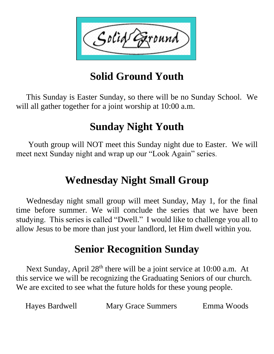

# **Solid Ground Youth**

 This Sunday is Easter Sunday, so there will be no Sunday School. We will all gather together for a joint worship at 10:00 a.m.

## **Sunday Night Youth**

 Youth group will NOT meet this Sunday night due to Easter. We will meet next Sunday night and wrap up our "Look Again" series.

### **Wednesday Night Small Group**

 Wednesday night small group will meet Sunday, May 1, for the final time before summer. We will conclude the series that we have been studying. This series is called "Dwell." I would like to challenge you all to allow Jesus to be more than just your landlord, let Him dwell within you.

### **Senior Recognition Sunday**

Next Sunday, April 28<sup>th</sup> there will be a joint service at 10:00 a.m. At this service we will be recognizing the Graduating Seniors of our church. We are excited to see what the future holds for these young people.

| Hayes Bardwell | <b>Mary Grace Summers</b> | Emma Woods |
|----------------|---------------------------|------------|
|----------------|---------------------------|------------|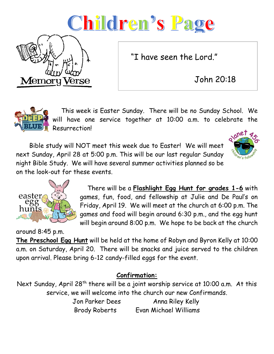# Children's Page

**Memory Verse** 

"I have seen the Lord."

John 20:18

 This week is Easter Sunday. There will be no Sunday School. We will have one service together at 10:00 a.m. to celebrate the Resurrection!

 Bible study will NOT meet this week due to Easter! We will meet next Sunday, April 28 at 5:00 p.m. This will be our last regular Sunday night Bible Study. We will have several summer activities planned so be on the look-out for these events.





 There will be a **Flashlight Egg Hunt for grades 1-6** with games, fun, food, and fellowship at Julie and De Paul's on Friday, April 19. We will meet at the church at 6:00 p.m. The games and food will begin around 6:30 p.m., and the egg hunt will begin around 8:00 p.m. We hope to be back at the church

around 8:45 p.m. **The Preschool Egg Hunt** will be held at the home of Robyn and Byron Kelly at 10:00 a.m. on Saturday, April 20. There will be snacks and juice served to the children upon arrival. Please bring 6-12 candy-filled eggs for the event.

### **Confirmation:**

Next Sunday, April 28<sup>th</sup> there will be a joint worship service at 10:00 a.m. At this service, we will welcome into the church our new Confirmands.

Jon Parker Dees Anna Riley Kelly Brody Roberts Evan Michael Williams